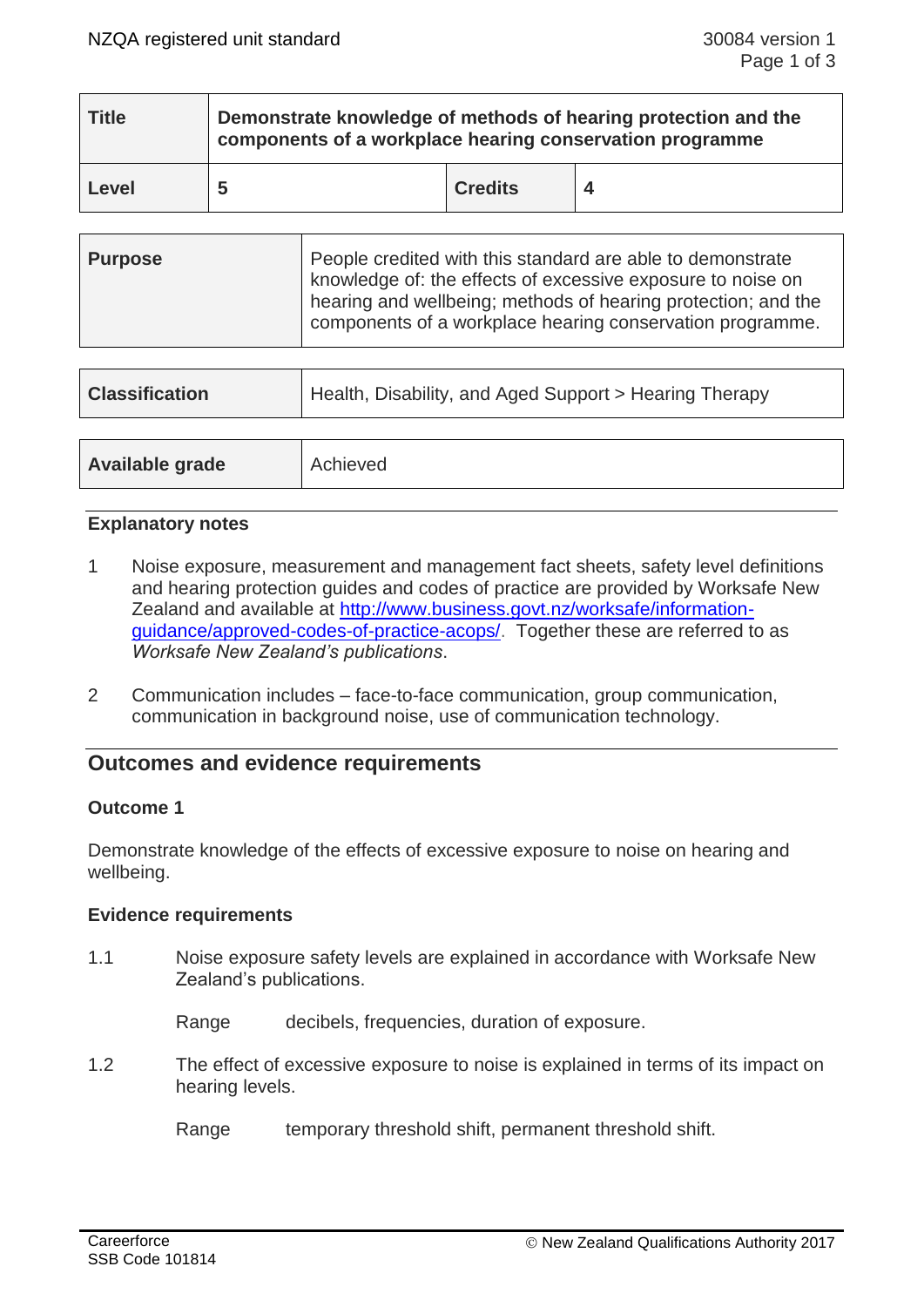| <b>Title</b> | Demonstrate knowledge of methods of hearing protection and the<br>components of a workplace hearing conservation programme |                |  |  |  |
|--------------|----------------------------------------------------------------------------------------------------------------------------|----------------|--|--|--|
| Level        | 5                                                                                                                          | <b>Credits</b> |  |  |  |

| <b>Purpose</b> | People credited with this standard are able to demonstrate<br>knowledge of: the effects of excessive exposure to noise on<br>hearing and wellbeing; methods of hearing protection; and the<br>components of a workplace hearing conservation programme. |
|----------------|---------------------------------------------------------------------------------------------------------------------------------------------------------------------------------------------------------------------------------------------------------|
|                |                                                                                                                                                                                                                                                         |

| <b>Classification</b> | Health, Disability, and Aged Support > Hearing Therapy |  |
|-----------------------|--------------------------------------------------------|--|
|                       |                                                        |  |
| Available grade       | Achieved                                               |  |

## **Explanatory notes**

- 1 Noise exposure, measurement and management fact sheets, safety level definitions and hearing protection guides and codes of practice are provided by Worksafe New Zealand and available at [http://www.business.govt.nz/worksafe/information](http://www.business.govt.nz/worksafe/information-guidance/approved-codes-of-practice-acops/)[guidance/approved-codes-of-practice-acops/.](http://www.business.govt.nz/worksafe/information-guidance/approved-codes-of-practice-acops/) Together these are referred to as *Worksafe New Zealand's publications*.
- 2 Communication includes face-to-face communication, group communication, communication in background noise, use of communication technology.

# **Outcomes and evidence requirements**

#### **Outcome 1**

Demonstrate knowledge of the effects of excessive exposure to noise on hearing and wellbeing.

#### **Evidence requirements**

1.1 Noise exposure safety levels are explained in accordance with Worksafe New Zealand's publications.

Range decibels, frequencies, duration of exposure.

1.2 The effect of excessive exposure to noise is explained in terms of its impact on hearing levels.

Range temporary threshold shift, permanent threshold shift.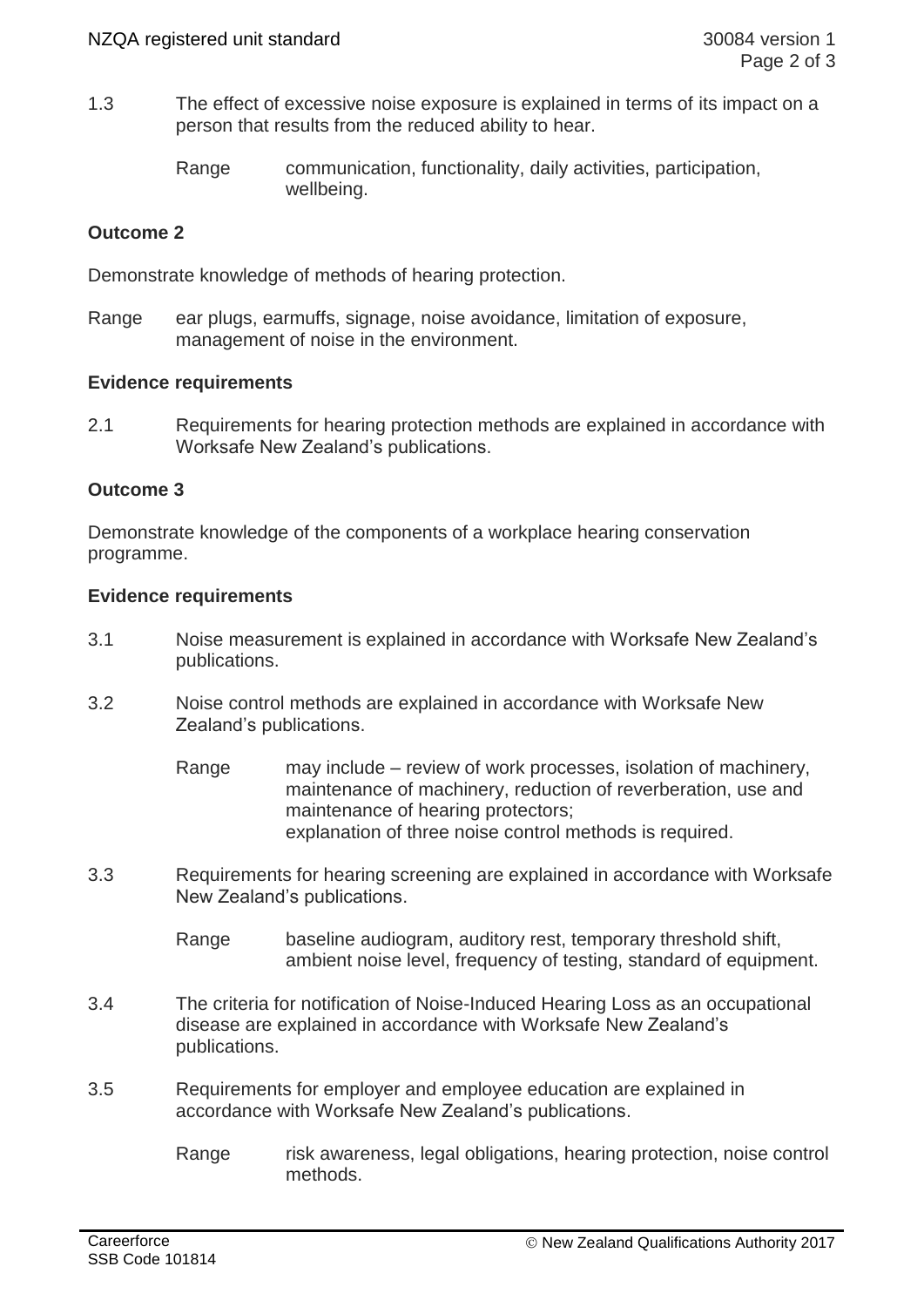1.3 The effect of excessive noise exposure is explained in terms of its impact on a person that results from the reduced ability to hear.

> Range communication, functionality, daily activities, participation, wellbeing.

# **Outcome 2**

Demonstrate knowledge of methods of hearing protection.

Range ear plugs, earmuffs, signage, noise avoidance, limitation of exposure, management of noise in the environment.

### **Evidence requirements**

2.1 Requirements for hearing protection methods are explained in accordance with Worksafe New Zealand's publications.

## **Outcome 3**

Demonstrate knowledge of the components of a workplace hearing conservation programme.

### **Evidence requirements**

- 3.1 Noise measurement is explained in accordance with Worksafe New Zealand's publications.
- 3.2 Noise control methods are explained in accordance with Worksafe New Zealand's publications.
	- Range may include review of work processes, isolation of machinery, maintenance of machinery, reduction of reverberation, use and maintenance of hearing protectors; explanation of three noise control methods is required.
- 3.3 Requirements for hearing screening are explained in accordance with Worksafe New Zealand's publications.
	- Range baseline audiogram, auditory rest, temporary threshold shift, ambient noise level, frequency of testing, standard of equipment.
- 3.4 The criteria for notification of Noise-Induced Hearing Loss as an occupational disease are explained in accordance with Worksafe New Zealand's publications.
- 3.5 Requirements for employer and employee education are explained in accordance with Worksafe New Zealand's publications.
	- Range risk awareness, legal obligations, hearing protection, noise control methods.